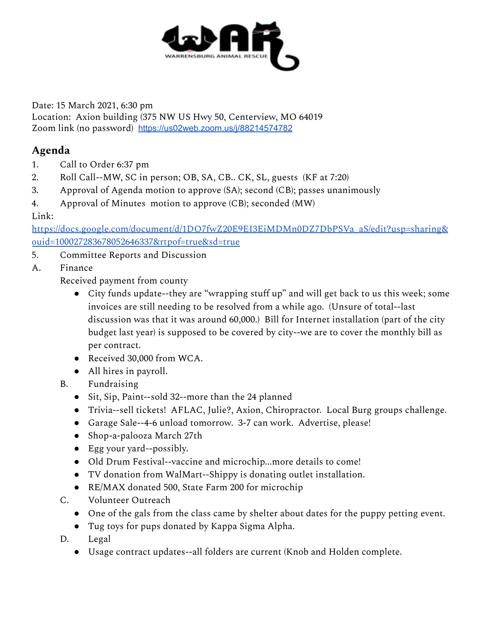

Date: 15 March 2021, 6:30 pm Location: Axion building (375 NW US Hwy 50, Centerview, MO 64019 Zoom link (no password) <https://us02web.zoom.us/j/88214574782>

## **Agenda**

- 1. Call to Order 6:37 pm
- 2. Roll Call--MW, SC in person; OB, SA, CB.. CK, SL, guests (KF at 7:20)
- 3. Approval of Agenda motion to approve (SA); second (CB); passes unanimously
- 4. Approval of Minutes motion to approve (CB); seconded (MW)

## Link:

[https://docs.google.com/document/d/1DO7fwZ20E9EI3EiMDMn0DZ7DbPSVa\\_aS/edit?usp=sharing&](https://docs.google.com/document/d/1DO7fwZ20E9EI3EiMDMn0DZ7DbPSVa_aS/edit?usp=sharing&ouid=100027283678052646337&rtpof=true&sd=true) [ouid=100027283678052646337&rtpof=true&sd=true](https://docs.google.com/document/d/1DO7fwZ20E9EI3EiMDMn0DZ7DbPSVa_aS/edit?usp=sharing&ouid=100027283678052646337&rtpof=true&sd=true)

- 5. Committee Reports and Discussion
- A. Finance

Received payment from county

- City funds update--they are "wrapping stuff up" and will get back to us this week; some invoices are still needing to be resolved from a while ago. (Unsure of total--last discussion was that it was around 60,000.) Bill for Internet installation (part of the city budget last year) is supposed to be covered by city--we are to cover the monthly bill as per contract.
- Received 30,000 from WCA.
- All hires in payroll.
- B. Fundraising
	- Sit, Sip, Paint--sold 32--more than the 24 planned
	- Trivia--sell tickets! AFLAC, Julie?, Axion, Chiropractor. Local Burg groups challenge.
	- Garage Sale--4-6 unload tomorrow. 3-7 can work. Advertise, please!
	- Shop-a-palooza March 27th
	- Egg your yard--possibly.
	- Old Drum Festival--vaccine and microchip...more details to come!
	- TV donation from WalMart--Shippy is donating outlet installation.
	- RE/MAX donated 500, State Farm 200 for microchip
- C. Volunteer Outreach
	- One of the gals from the class came by shelter about dates for the puppy petting event.
	- Tug toys for pups donated by Kappa Sigma Alpha.
- D. Legal
	- Usage contract updates--all folders are current (Knob and Holden complete.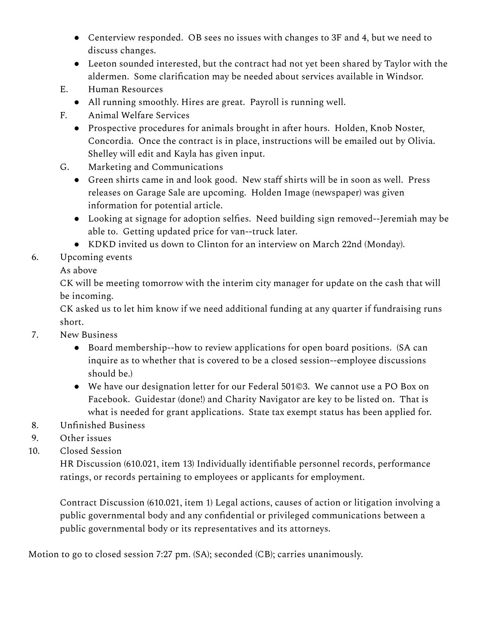- Centerview responded. OB sees no issues with changes to 3F and 4, but we need to discuss changes.
- Leeton sounded interested, but the contract had not yet been shared by Taylor with the aldermen. Some clarification may be needed about services available in Windsor.
- E. Human Resources
	- All running smoothly. Hires are great. Payroll is running well.
- F. Animal Welfare Services
	- Prospective procedures for animals brought in after hours. Holden, Knob Noster, Concordia. Once the contract is in place, instructions will be emailed out by Olivia. Shelley will edit and Kayla has given input.
- G. Marketing and Communications
	- Green shirts came in and look good. New staff shirts will be in soon as well. Press releases on Garage Sale are upcoming. Holden Image (newspaper) was given information for potential article.
	- Looking at signage for adoption selfies. Need building sign removed--Jeremiah may be able to. Getting updated price for van--truck later.
	- KDKD invited us down to Clinton for an interview on March 22nd (Monday).
- 6. Upcoming events

As above

CK will be meeting tomorrow with the interim city manager for update on the cash that will be incoming.

CK asked us to let him know if we need additional funding at any quarter if fundraising runs short.

- 7. New Business
	- Board membership--how to review applications for open board positions. (SA can inquire as to whether that is covered to be a closed session--employee discussions should be.)
	- We have our designation letter for our Federal 501©3. We cannot use a PO Box on Facebook. Guidestar (done!) and Charity Navigator are key to be listed on. That is what is needed for grant applications. State tax exempt status has been applied for.
- 8. Unfinished Business
- 9. Other issues
- 10. Closed Session

HR Discussion (610.021, item 13) Individually identifiable personnel records, performance ratings, or records pertaining to employees or applicants for employment.

Contract Discussion (610.021, item 1) Legal actions, causes of action or litigation involving a public governmental body and any confidential or privileged communications between a public governmental body or its representatives and its attorneys.

Motion to go to closed session 7:27 pm. (SA); seconded (CB); carries unanimously.